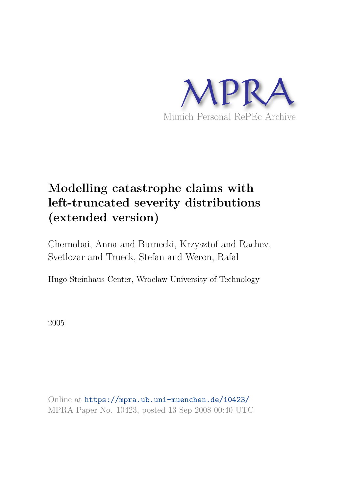

# **Modelling catastrophe claims with left-truncated severity distributions (extended version)**

Chernobai, Anna and Burnecki, Krzysztof and Rachev, Svetlozar and Trueck, Stefan and Weron, Rafal

Hugo Steinhaus Center, Wroclaw University of Technology

2005

Online at https://mpra.ub.uni-muenchen.de/10423/ MPRA Paper No. 10423, posted 13 Sep 2008 00:40 UTC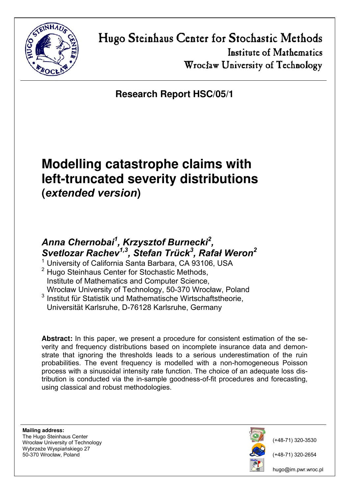

**Research Report HSC/05/1** 

# **Modelling catastrophe claims with left-truncated severity distributions (***extended version***)**

## *Anna Chernobai<sup>1</sup> , Krzysztof Burnecki<sup>2</sup> , Svetlozar Rachev1,3, Stefan Trück<sup>3</sup> , Rafał Weron<sup>2</sup>*

 $1$  University of California Santa Barbara, CA 93106, USA

 $2$  Hugo Steinhaus Center for Stochastic Methods, Institute of Mathematics and Computer Science, Wrocław University of Technology, 50-370 Wrocław, Poland

<sup>3</sup> Institut für Statistik und Mathematische Wirtschaftstheorie, Universität Karlsruhe, D-76128 Karlsruhe, Germany

**Abstract:** In this paper, we present a procedure for consistent estimation of the severity and frequency distributions based on incomplete insurance data and demonstrate that ignoring the thresholds leads to a serious underestimation of the ruin probabilities. The event frequency is modelled with a non-homogeneous Poisson process with a sinusoidal intensity rate function. The choice of an adequate loss distribution is conducted via the in-sample goodness-of-fit procedures and forecasting, using classical and robust methodologies.

**Mailing address:** The Hugo Steinhaus Center Wrocław University of Technology Wybrzeże Wyspiańskiego 27 50-370 Wrocław, Poland



(+48-71) 320-3530

(+48-71) 320-2654

hugo@im.pwr.wroc.pl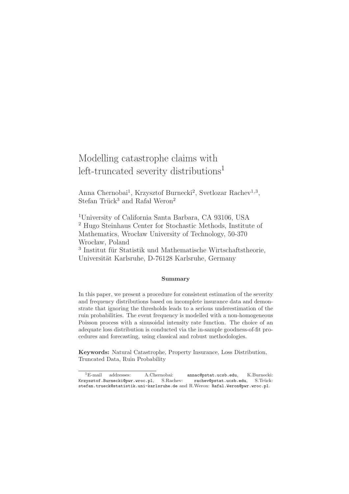## Modelling catastrophe claims with left-truncated severity distributions<sup>1</sup>

Anna Chernobai<sup>1</sup>, Krzysztof Burnecki<sup>2</sup>, Svetlozar Rachev<sup>1,3</sup>, Stefan Trück<sup>3</sup> and Rafal Weron<sup>2</sup>

<sup>1</sup>University of California Santa Barbara, CA 93106, USA <sup>2</sup> Hugo Steinhaus Center for Stochastic Methods, Institute of Mathematics, Wrocław University of Technology, 50-370 Wrocław, Poland  $3$ Institut für Statistik und Mathematische Wirtschaftstheorie,

Universität Karlsruhe, D-76128 Karlsruhe, Germany

#### Summary

In this paper, we present a procedure for consistent estimation of the severity and frequency distributions based on incomplete insurance data and demonstrate that ignoring the thresholds leads to a serious underestimation of the ruin probabilities. The event frequency is modelled with a non-homogeneous Poisson process with a sinusoidal intensity rate function. The choice of an adequate loss distribution is conducted via the in-sample goodness-of-fit procedures and forecasting, using classical and robust methodologies.

Keywords: Natural Catastrophe, Property Insurance, Loss Distribution, Truncated Data, Ruin Probability

<sup>1</sup>E-mail addresses: A.Chernobai: annac@pstat.ucsb.edu, K.Burnecki: Krzysztof.Burnecki@pwr.wroc.pl, S.Rachev: rachev@pstat.ucsb.edu, S.Trück: stefan.trueck@statistik.uni-karlsruhe.de and R.Weron: Rafal.Weron@pwr.wroc.pl.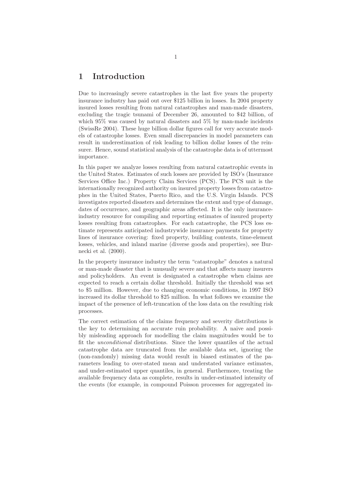## 1 Introduction

Due to increasingly severe catastrophes in the last five years the property insurance industry has paid out over \$125 billion in losses. In 2004 property insured losses resulting from natural catastrophes and man-made disasters, excluding the tragic tsunami of December 26, amounted to \$42 billion, of which 95% was caused by natural disasters and 5% by man-made incidents (SwissRe 2004). These huge billion dollar figures call for very accurate models of catastrophe losses. Even small discrepancies in model parameters can result in underestimation of risk leading to billion dollar losses of the reinsurer. Hence, sound statistical analysis of the catastrophe data is of uttermost importance.

In this paper we analyze losses resulting from natural catastrophic events in the United States. Estimates of such losses are provided by ISO's (Insurance Services Office Inc.) Property Claim Services (PCS). The PCS unit is the internationally recognized authority on insured property losses from catastrophes in the United States, Puerto Rico, and the U.S. Virgin Islands. PCS investigates reported disasters and determines the extent and type of damage, dates of occurrence, and geographic areas affected. It is the only insuranceindustry resource for compiling and reporting estimates of insured property losses resulting from catastrophes. For each catastrophe, the PCS loss estimate represents anticipated industrywide insurance payments for property lines of insurance covering: fixed property, building contents, time-element losses, vehicles, and inland marine (diverse goods and properties), see Burnecki et al. (2000).

In the property insurance industry the term "catastrophe" denotes a natural or man-made disaster that is unusually severe and that affects many insurers and policyholders. An event is designated a catastrophe when claims are expected to reach a certain dollar threshold. Initially the threshold was set to \$5 million. However, due to changing economic conditions, in 1997 ISO increased its dollar threshold to \$25 million. In what follows we examine the impact of the presence of left-truncation of the loss data on the resulting risk processes.

The correct estimation of the claims frequency and severity distributions is the key to determining an accurate ruin probability. A naive and possibly misleading approach for modelling the claim magnitudes would be to fit the unconditional distributions. Since the lower quantiles of the actual catastrophe data are truncated from the available data set, ignoring the (non-randomly) missing data would result in biased estimates of the parameters leading to over-stated mean and understated variance estimates, and under-estimated upper quantiles, in general. Furthermore, treating the available frequency data as complete, results in under-estimated intensity of the events (for example, in compound Poisson processes for aggregated in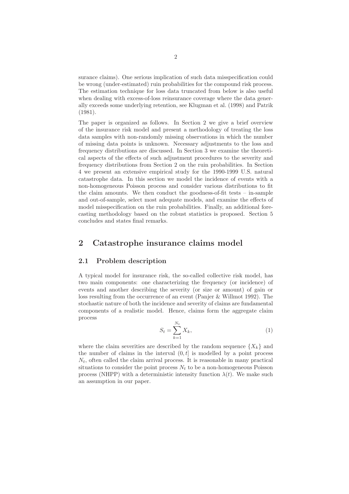surance claims). One serious implication of such data misspecification could be wrong (under-estimated) ruin probabilities for the compound risk process. The estimation technique for loss data truncated from below is also useful when dealing with excess-of-loss reinsurance coverage where the data generally exceeds some underlying retention, see Klugman et al. (1998) and Patrik (1981).

The paper is organized as follows. In Section 2 we give a brief overview of the insurance risk model and present a methodology of treating the loss data samples with non-randomly missing observations in which the number of missing data points is unknown. Necessary adjustments to the loss and frequency distributions are discussed. In Section 3 we examine the theoretical aspects of the effects of such adjustment procedures to the severity and frequency distributions from Section 2 on the ruin probabilities. In Section 4 we present an extensive empirical study for the 1990-1999 U.S. natural catastrophe data. In this section we model the incidence of events with a non-homogeneous Poisson process and consider various distributions to fit the claim amounts. We then conduct the goodness-of-fit tests – in-sample and out-of-sample, select most adequate models, and examine the effects of model misspecification on the ruin probabilities. Finally, an additional forecasting methodology based on the robust statistics is proposed. Section 5 concludes and states final remarks.

### 2 Catastrophe insurance claims model

#### 2.1 Problem description

A typical model for insurance risk, the so-called collective risk model, has two main components: one characterizing the frequency (or incidence) of events and another describing the severity (or size or amount) of gain or loss resulting from the occurrence of an event (Panjer & Willmot 1992). The stochastic nature of both the incidence and severity of claims are fundamental components of a realistic model. Hence, claims form the aggregate claim process

$$
S_t = \sum_{k=1}^{N_t} X_k,\tag{1}
$$

where the claim severities are described by the random sequence  $\{X_k\}$  and the number of claims in the interval  $(0,t]$  is modelled by a point process  $N_t$ , often called the claim arrival process. It is reasonable in many practical situations to consider the point process  $N_t$  to be a non-homogeneous Poisson process (NHPP) with a deterministic intensity function  $\lambda(t)$ . We make such an assumption in our paper.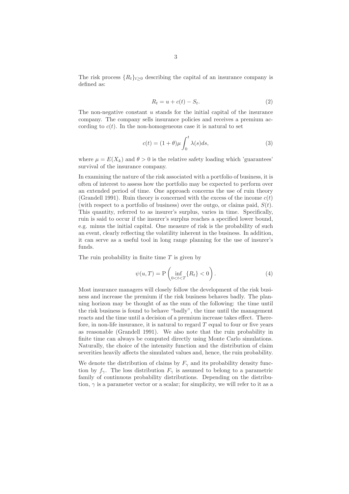The risk process  ${R_t}_{t>0}$  describing the capital of an insurance company is defined as:

$$
R_t = u + c(t) - S_t.
$$
\n<sup>(2)</sup>

The non-negative constant  $u$  stands for the initial capital of the insurance company. The company sells insurance policies and receives a premium according to  $c(t)$ . In the non-homogeneous case it is natural to set

$$
c(t) = (1+\theta)\mu \int_0^t \lambda(s)ds,
$$
\n(3)

where  $\mu = E(X_k)$  and  $\theta > 0$  is the relative safety loading which 'guarantees' survival of the insurance company.

In examining the nature of the risk associated with a portfolio of business, it is often of interest to assess how the portfolio may be expected to perform over an extended period of time. One approach concerns the use of ruin theory (Grandell 1991). Ruin theory is concerned with the excess of the income  $c(t)$ (with respect to a portfolio of business) over the outgo, or claims paid,  $S(t)$ . This quantity, referred to as insurer's surplus, varies in time. Specifically, ruin is said to occur if the insurer's surplus reaches a specified lower bound, e.g. minus the initial capital. One measure of risk is the probability of such an event, clearly reflecting the volatility inherent in the business. In addition, it can serve as a useful tool in long range planning for the use of insurer's funds.

The ruin probability in finite time  $T$  is given by

$$
\psi(u,T) = P\left(\inf_{0 < t < T} \{R_t\} < 0\right). \tag{4}
$$

Most insurance managers will closely follow the development of the risk business and increase the premium if the risk business behaves badly. The planning horizon may be thought of as the sum of the following: the time until the risk business is found to behave "badly", the time until the management reacts and the time until a decision of a premium increase takes effect. Therefore, in non-life insurance, it is natural to regard  $T$  equal to four or five years as reasonable (Grandell 1991). We also note that the ruin probability in finite time can always be computed directly using Monte Carlo simulations. Naturally, the choice of the intensity function and the distribution of claim severities heavily affects the simulated values and, hence, the ruin probability.

We denote the distribution of claims by  $F_{\gamma}$  and its probability density function by  $f_{\gamma}$ . The loss distribution  $F_{\gamma}$  is assumed to belong to a parametric family of continuous probability distributions. Depending on the distribution,  $\gamma$  is a parameter vector or a scalar; for simplicity, we will refer to it as a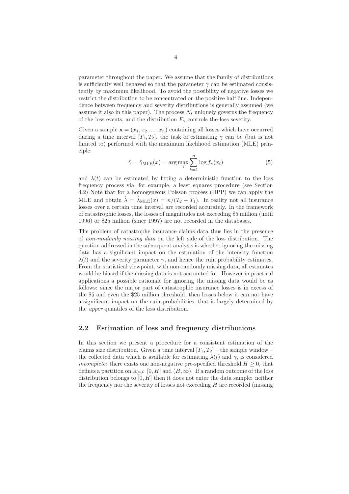parameter throughout the paper. We assume that the family of distributions is sufficiently well behaved so that the parameter  $\gamma$  can be estimated consistently by maximum likelihood. To avoid the possibility of negative losses we restrict the distribution to be concentrated on the positive half line. Independence between frequency and severity distributions is generally assumed (we assume it also in this paper). The process  $N_t$  uniquely governs the frequency of the loss events, and the distribution  $F_{\gamma}$  controls the loss severity.

Given a sample  $\mathbf{x} = (x_1, x_2, \ldots, x_n)$  containing all losses which have occurred during a time interval  $[T_1,T_2]$ , the task of estimating  $\gamma$  can be (but is not limited to) performed with the maximum likelihood estimation (MLE) principle:

$$
\hat{\gamma} = \hat{\gamma}_{MLE}(x) = \arg \max_{\gamma} \sum_{k=1}^{n} \log f_{\gamma}(x_i)
$$
\n(5)

and  $\lambda(t)$  can be estimated by fitting a deterministic function to the loss frequency process via, for example, a least squares procedure (see Section 4.2) Note that for a homogeneous Poisson process (HPP) we can apply the MLE and obtain  $\hat{\lambda} = \hat{\lambda}_{MLE}(x) = n/(T_2 - T_1)$ . In reality not all insurance losses over a certain time interval are recorded accurately. In the framework of catastrophic losses, the losses of magnitudes not exceeding \$5 million (until 1996) or \$25 million (since 1997) are not recorded in the databases.

The problem of catastrophe insurance claims data thus lies in the presence of non-randomly missing data on the left side of the loss distribution. The question addressed in the subsequent analysis is whether ignoring the missing data has a significant impact on the estimation of the intensity function  $\lambda(t)$  and the severity parameter  $\gamma$ , and hence the ruin probability estimates. From the statistical viewpoint, with non-randomly missing data, all estimates would be biased if the missing data is not accounted for. However in practical applications a possible rationale for ignoring the missing data would be as follows: since the major part of catastrophic insurance losses is in excess of the \$5 and even the \$25 million threshold, then losses below it can not have a significant impact on the ruin probabilities, that is largely determined by the upper quantiles of the loss distribution.

#### 2.2 Estimation of loss and frequency distributions

In this section we present a procedure for a consistent estimation of the claims size distribution. Given a time interval  $[T_1,T_2]$  – the sample window – the collected data which is available for estimating  $\lambda(t)$  and  $\gamma$ , is considered incomplete: there exists one non-negative pre-specified threshold  $H \geq 0$ , that defines a partition on  $\mathbb{R}_{\geq 0}$ : [0, H] and  $(H, \infty)$ . If a random outcome of the loss distribution belongs to  $[0, H]$  then it does not enter the data sample: neither the frequency nor the severity of losses not exceeding H are recorded (missing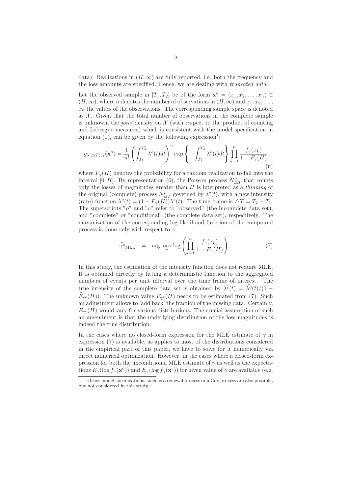data). Realizations in  $(H, \infty)$  are fully reported, i.e. both the frequency and the loss amounts are specified. Hence, we are dealing with truncated data.

Let the observed sample in  $[T_1, T_2]$  be of the form  $\mathbf{x}^o = (x_1, x_2, \dots, x_n) \in$  $(H, \infty)$ , where *n* denotes the number of observations in  $(H, \infty)$  and  $x_1, x_2, \ldots$ ,  $x_n$  the values of the observations. The corresponding sample space is denoted as  $X$ . Given that the total number of observations in the complete sample is unknown, the *joint* density on  $\mathcal X$  (with respect to the product of counting and Lebesgue measures) which is consistent with the model specification in equation (1), can be given by the following expression<sup>1</sup>:

$$
g_{\lambda(\triangle T),\gamma}(\mathbf{x}^o) = \frac{1}{n!} \left( \int_{T_1}^{T_2} \lambda^o(t) dt \right)^n \exp\left\{-\int_{T_1}^{T_2} \lambda^o(t) dt \right\} \prod_{k=1}^n \frac{f_\gamma(x_k)}{1 - F_\gamma(H)}\tag{6}
$$

where  $F_{\gamma}(H)$  denotes the probability for a random realization to fall into the interval [0, H]. By representation (6), the Poisson process  $N^o_{\Delta T}$  that counts only the losses of magnitudes greater than  $H$  is interpreted as a thinning of the original (complete) process  $N_{\Delta T}^c$  governed by  $\lambda^c(t)$ , with a new intensity (rate) function  $\lambda^o(t) = (1 - F_\gamma(H))\lambda^c(t)$ . The time frame is  $\triangle T = T_2 - T_1$ . The superscripts " $o$ " and " $c$ " refer to "observed" (the incomplete data set), and "complete" or "conditional" (the complete data set), respectively. The maximization of the corresponding log-likelihood function of the compound process is done only with respect to  $\gamma$ :

$$
\widehat{\gamma}_{MLE}^c = \arg \max_{\gamma} \log \left( \prod_{k=1}^n \frac{f_\gamma(x_k)}{1 - F_\gamma(H)} \right), \tag{7}
$$

In this study, the estimation of the intensity function does not require MLE. It is obtained directly by fitting a deterministic function to the aggregated numbers of events per unit interval over the time frame of interest. The true intensity of the complete data set is obtained by  $\hat{\lambda}^c(t) = \hat{\lambda}^o(t)/(1 \widehat{F}_{\gamma^c}(H)$ . The unknown value  $F_{\gamma^c}(H)$  needs to be estimated from (7). Such an adjustment allows to 'add back' the fraction of the missing data. Certainly,  $F_{\gamma^c}(H)$  would vary for various distributions. The crucial assumption of such an amendment is that the underlying distribution of the loss magnitudes is indeed the true distribution.

In the cases where no closed-form expression for the MLE estimate of  $\gamma$  in expression (7) is available, as applies to most of the distributions considered in the empirical part of this paper, we have to solve for it numerically via direct numerical optimization. However, in the cases where a closed-form expression for both the unconditional MLE estimate of  $\gamma$  as well as the expectations  $E_{\gamma}(\log f_{\gamma}(\mathbf{x}^{\circ}))$  and  $E_{\gamma}(\log f_{\gamma}(\mathbf{x}^{\circ}))$  for given value of  $\gamma$  are available (e.g.

 $1$ Other model specifications, such as a renewal process or a Cox process are also possible, but not considered in this study.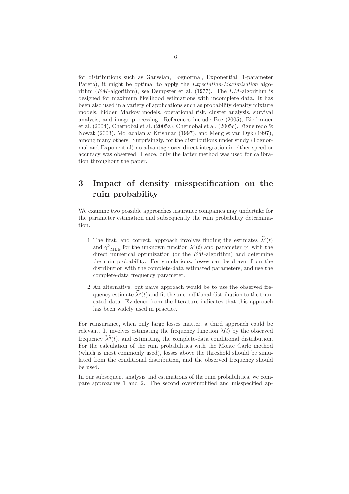for distributions such as Gaussian, Lognormal, Exponential, 1-parameter Pareto), it might be optimal to apply the Expectation-Maximization algorithm  $(EM$ -algorithm), see Dempster et al. (1977). The  $EM$ -algorithm is designed for maximum likelihood estimations with incomplete data. It has been also used in a variety of applications such as probability density mixture models, hidden Markov models, operational risk, cluster analysis, survival analysis, and image processing. References include Bee (2005), Bierbrauer et al. (2004), Chernobai et al. (2005a), Chernobai et al. (2005c), Figueiredo & Nowak (2003), McLachlan & Krishnan (1997), and Meng & van Dyk (1997), among many others. Surprisingly, for the distributions under study (Lognormal and Exponential) no advantage over direct integration in either speed or accuracy was observed. Hence, only the latter method was used for calibration throughout the paper.

## 3 Impact of density misspecification on the ruin probability

We examine two possible approaches insurance companies may undertake for the parameter estimation and subsequently the ruin probability determination.

- 1 The first, and correct, approach involves finding the estimates  $\hat{\lambda}^c(t)$ and  $\hat{\gamma}^c{}_{\text{MLE}}$  for the unknown function  $\lambda^c(t)$  and parameter  $\gamma^c$  with the direct numerical optimization (or the  $EM$ -algorithm) and determine the ruin probability. For simulations, losses can be drawn from the distribution with the complete-data estimated parameters, and use the complete-data frequency parameter.
- 2 An alternative, but naive approach would be to use the observed frequency estimate  $\widehat{\lambda}^o(t)$  and fit the unconditional distribution to the truncated data. Evidence from the literature indicates that this approach has been widely used in practice.

For reinsurance, when only large losses matter, a third approach could be relevant. It involves estimating the frequency function  $\lambda(t)$  by the observed frequency  $\lambda^o(t)$ , and estimating the complete-data conditional distribution. For the calculation of the ruin probabilities with the Monte Carlo method (which is most commonly used), losses above the threshold should be simulated from the conditional distribution, and the observed frequency should be used.

In our subsequent analysis and estimations of the ruin probabilities, we compare approaches 1 and 2. The second oversimplified and misspecified ap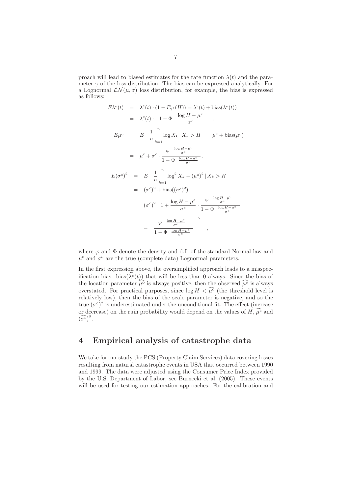proach will lead to biased estimates for the rate function  $\lambda(t)$  and the parameter  $\gamma$  of the loss distribution. The bias can be expressed analytically. For a Lognormal  $\mathcal{LN}(\mu, \sigma)$  loss distribution, for example, the bias is expressed as follows:

$$
E\lambda^o(t) = \lambda^c(t) \cdot (1 - F_{\gamma^c}(H)) = \lambda^c(t) + \text{bias}(\lambda^o(t))
$$
  
\n
$$
= \lambda^c(t) \cdot 1 - \Phi \frac{\log H - \mu^c}{\sigma^c},
$$
  
\n
$$
E\mu^o = E \frac{1}{n} \log X_k | X_k > H = \mu^c + \text{bias}(\mu^o)
$$
  
\n
$$
= \mu^c + \sigma^c \cdot \frac{\varphi \frac{\log H - \mu^c}{\sigma^c}}{1 - \Phi \frac{\log H - \mu^c}{\sigma^c}},
$$
  
\n
$$
E(\sigma^o)^2 = E \frac{1}{n} \log^2 X_k - (\mu^o)^2 | X_k > H
$$
  
\n
$$
= (\sigma^c)^2 + \text{bias}((\sigma^o)^2)
$$
  
\n
$$
= (\sigma^c)^2 1 + \frac{\log H - \mu^c}{\sigma^c} \cdot \frac{\varphi \frac{\log H - \mu^c}{\sigma^c}}{1 - \Phi \frac{\log H - \mu^c}{\sigma^c}}
$$
  
\n
$$
= \frac{\varphi \frac{\log H - \mu^c}{\sigma^c}}{1 - \Phi \frac{\log H - \mu^c}{\sigma^c}},
$$

where  $\varphi$  and  $\Phi$  denote the density and d.f. of the standard Normal law and  $\mu^c$  and  $\sigma^c$  are the true (complete data) Lognormal parameters.

In the first expression above, the oversimplified approach leads to a misspecification bias: bias( $\widehat{\lambda}^o(t)$ ) that will be less than 0 always. Since the bias of the location parameter  $\widehat{\mu}^o$  is always positive, then the observed  $\widehat{\mu}^o$  is always overstated. For practical purposes, since  $\log H < \widehat{\mu}^c$  (the threshold level is relatively low), then the bias of the scale parameter is negative, and so the true  $(\sigma^c)^2$  is underestimated under the unconditional fit. The effect (increase or decrease) on the ruin probability would depend on the values of  $H, \hat{\mu}^c$  and  $(\widehat{\sigma^c})^2$ .

## 4 Empirical analysis of catastrophe data

We take for our study the PCS (Property Claim Services) data covering losses resulting from natural catastrophe events in USA that occurred between 1990 and 1999. The data were adjusted using the Consumer Price Index provided by the U.S. Department of Labor, see Burnecki et al. (2005). These events will be used for testing our estimation approaches. For the calibration and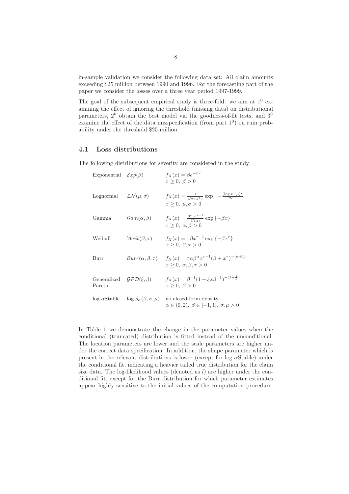in-sample validation we consider the following data set: All claim amounts exceeding \$25 million between 1990 and 1996. For the forecasting part of the paper we consider the losses over a three year period 1997-1999.

The goal of the subsequent empirical study is three-fold: we aim at  $1^0$  examining the effect of ignoring the threshold (missing data) on distributional parameters,  $2^0$  obtain the best model via the goodness-of-fit tests, and  $3^0$ examine the effect of the data misspecification (from part  $1<sup>0</sup>$ ) on ruin probability under the threshold \$25 million.

#### 4.1 Loss distributions

The following distributions for severity are considered in the study:

| Exponential $\mathcal{E}xp(\beta)$ |                                                                                   | $f_X(x) = \beta e^{-\beta x}$<br>$x \geq 0, \ \beta > 0$                                                                                                |
|------------------------------------|-----------------------------------------------------------------------------------|---------------------------------------------------------------------------------------------------------------------------------------------------------|
| Lognormal                          | $\mathcal{L}\mathcal{N}(\mu,\sigma)$                                              | $f_X(x) = \frac{1}{\sqrt{2\pi\sigma^2 x}} \exp \left(-\frac{(\log x - \mu)^2}{2\sigma^2}\right)$<br>$x > 0, \mu, \sigma > 0$                            |
| Gamma                              | $\mathcal{G}am(\alpha,\beta)$                                                     | $f_X(x) = \frac{\beta^{\alpha} x^{\alpha-1}}{\Gamma(\alpha)} \exp \{-\beta x\}$<br>$x \geq 0$ , $\alpha, \beta > 0$                                     |
| Weibull                            | $Weib(\beta, \tau)$                                                               | $f_X(x) = \tau \beta x^{\tau-1} \exp \{-\beta x^{\tau}\}\$<br>$x > 0, \beta, \tau > 0$                                                                  |
| Burr                               |                                                                                   | $Burr(\alpha, \beta, \tau)$ $f_X(x) = \tau \alpha \beta^{\alpha} x^{\tau-1} (\beta + x^{\tau})^{-(\alpha+1)}$<br>$x \geq 0$ , $\alpha, \beta, \tau > 0$ |
| Generalized<br>Pareto              | $GPD(\xi, \beta)$                                                                 | $f_X(x) = \beta^{-1} (1 + \xi x \beta^{-1})^{-(1 + \frac{1}{\xi})}$<br>$x \geq 0, \ \beta > 0$                                                          |
|                                    | $\log_{\alpha} \mathcal{S}$ table $\log \mathcal{S}_{\alpha}(\beta, \sigma, \mu)$ | no closed-form density<br>$\alpha \in (0,2), \ \beta \in [-1,1], \ \sigma, \mu > 0$                                                                     |

In Table 1 we demonstrate the change in the parameter values when the conditional (truncated) distribution is fitted instead of the unconditional. The location parameters are lower and the scale parameters are higher under the correct data specification. In addition, the shape parameter which is present in the relevant distributions is lower (except for log- $\alpha$ Stable) under the conditional fit, indicating a heavier tailed true distribution for the claim size data. The log-likelihood values (denoted as  $l$ ) are higher under the conditional fit, except for the Burr distribution for which parameter estimates appear highly sensitive to the initial values of the computation procedure.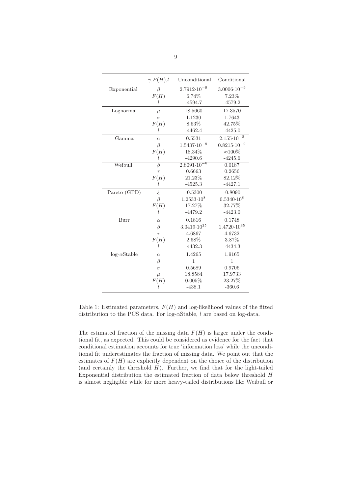|                    | $\gamma$ , $F(H)$ , l | Unconditional                     | Conditional            |
|--------------------|-----------------------|-----------------------------------|------------------------|
| Exponential        | β                     | $2.7912 \cdot 10^{-9}$            | $3.0006 \cdot 10^{-9}$ |
|                    | F(H)                  | 6.74%                             | 7.23%                  |
|                    | l                     | $-4594.7$                         | $-4579.2$              |
| Lognormal          | $\mu$                 | 18.5660                           | 17.3570                |
|                    | $\sigma$              | 1.1230                            | 1.7643                 |
|                    | F(H)                  | 8.63%                             | 42.75%                 |
|                    | l                     | $-4462.4$                         | $-4425.0$              |
| Gamma              | $\alpha$              | 0.5531                            | $2.155 \cdot 10^{-8}$  |
|                    | $\beta$               | $1.5437 \cdot 10^{-9}$            | $0.8215 \cdot 10^{-9}$ |
|                    | F(H)                  | 18.34%                            | $\approx$ 100%         |
|                    | l                     | $-4290.6$                         | $-4245.6$              |
| Weibull            | $\overline{\beta}$    | $2.\overline{8091 \cdot 10^{-6}}$ | 0.0187                 |
|                    | $\tau$                | 0.6663                            | 0.2656                 |
|                    | F(H)                  | 21.23%                            | 82.12%                 |
|                    | l                     | $-4525.3$                         | $-4427.1$              |
| Pareto (GPD)       | ξ                     | $-0.5300$                         | $-0.8090$              |
|                    | $\beta$               | $1.2533 \cdot 10^8$               | $0.5340 \cdot 10^8$    |
|                    | F(H)                  | 17.27%                            | 32.77%                 |
|                    | L                     | $-4479.2$                         | $-4423.0$              |
| Burr               | $\alpha$              | 0.1816                            | 0.1748                 |
|                    | β                     | $3.0419 \cdot 10^{35}$            | $1.4720 \cdot 10^{35}$ |
|                    | $\tau$                | 4.6867                            | 4.6732                 |
|                    | F(H)                  | 2.58%                             | 3.87%                  |
|                    | L                     | $-4432.3$                         | $-4434.3$              |
| $log-\alphaStable$ | $\alpha$              | 1.4265                            | 1.9165                 |
|                    | β                     | $\mathbf{1}$                      | $\mathbf{1}$           |
|                    | $\sigma$              | 0.5689                            | 0.9706                 |
|                    | $\mu$                 | 18.8584                           | 17.9733                |
|                    | F(H)                  | 0.005%                            | 23.27%                 |
|                    | I.                    | $-438.1$                          | $-360.6$               |

Table 1: Estimated parameters,  $F(H)$  and log-likelihood values of the fitted distribution to the PCS data. For log-αStable, l are based on log-data.

The estimated fraction of the missing data  $F(H)$  is larger under the conditional fit, as expected. This could be considered as evidence for the fact that conditional estimation accounts for true 'information loss' while the unconditional fit underestimates the fraction of missing data. We point out that the estimates of  $F(H)$  are explicitly dependent on the choice of the distribution (and certainly the threshold  $H$ ). Further, we find that for the light-tailed Exponential distribution the estimated fraction of data below threshold H is almost negligible while for more heavy-tailed distributions like Weibull or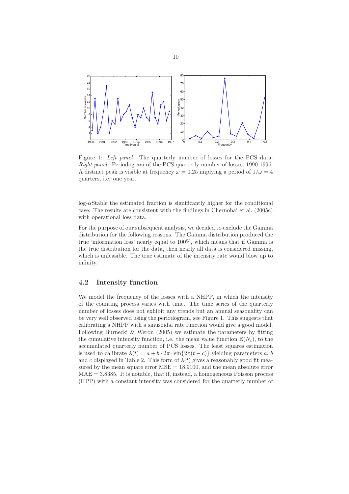

Figure 1: Left panel: The quarterly number of losses for the PCS data. Right panel: Periodogram of the PCS quarterly number of losses, 1990-1996. A distinct peak is visible at frequency  $\omega = 0.25$  implying a period of  $1/\omega = 4$ quarters, i.e. one year.

log-αStable the estimated fraction is significantly higher for the conditional case. The results are consistent with the findings in Chernobai et al. (2005c) with operational loss data.

For the purpose of our subsequent analysis, we decided to exclude the Gamma distribution for the following reasons. The Gamma distribution produced the true 'information loss' nearly equal to 100%, which means that if Gamma is the true distribution for the data, then nearly all data is considered missing, which is unfeasible. The true estimate of the intensity rate would blow up to infinity.

#### 4.2 Intensity function

We model the frequency of the losses with a NHPP, in which the intensity of the counting process varies with time. The time series of the quarterly number of losses does not exhibit any trends but an annual seasonality can be very well observed using the periodogram, see Figure 1. This suggests that calibrating a NHPP with a sinusoidal rate function would give a good model. Following Burnecki & Weron (2005) we estimate the parameters by fitting the cumulative intensity function, i.e. the mean value function  $E(N_t)$ , to the accumulated quarterly number of PCS losses. The least squares estimation is used to calibrate  $\lambda(t) = a + b \cdot 2\pi \cdot \sin\{2\pi(t-c)\}\$  yielding parameters a, b and c displayed in Table 2. This form of  $\lambda(t)$  gives a reasonably good fit measured by the mean square error  $MSE = 18.9100$ , and the mean absolute error  $MAE = 3.8385$ . It is notable, that if, instead, a homogeneous Poisson process (HPP) with a constant intensity was considered for the quarterly number of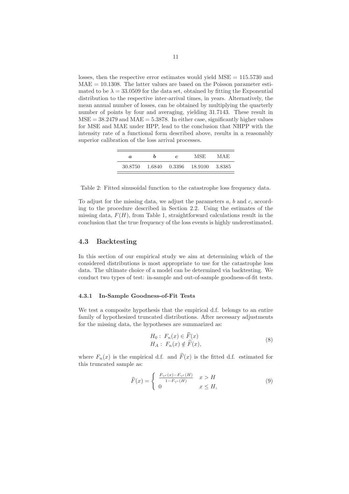losses, then the respective error estimates would yield  $MSE = 115.5730$  and  $MAE = 10.1308$ . The latter values are based on the Poisson parameter estimated to be  $\lambda = 33.0509$  for the data set, obtained by fitting the Exponential distribution to the respective inter-arrival times, in years. Alternatively, the mean annual number of losses, can be obtained by multiplying the quarterly number of points by four and averaging, yielding 31.7143. These result in  $MSE = 38.2479$  and  $MAE = 5.3878$ . In either case, significantly higher values for MSE and MAE under HPP, lead to the conclusion that NHPP with the intensity rate of a functional form described above, results in a reasonably superior calibration of the loss arrival processes.

| a       |        | $\mathfrak{c}$ | MSE     | MAE     |
|---------|--------|----------------|---------|---------|
| 30.8750 | 1.6840 | 0.3396         | 18.9100 | -3.8385 |

Table 2: Fitted sinusoidal function to the catastrophe loss frequency data.

To adjust for the missing data, we adjust the parameters  $a, b$  and  $c,$  according to the procedure described in Section 2.2. Using the estimates of the missing data,  $F(H)$ , from Table 1, straightforward calculations result in the conclusion that the true frequency of the loss events is highly underestimated.

#### 4.3 Backtesting

In this section of our empirical study we aim at determining which of the considered distributions is most appropriate to use for the catastrophe loss data. The ultimate choice of a model can be determined via backtesting. We conduct two types of test: in-sample and out-of-sample goodness-of-fit tests.

#### 4.3.1 In-Sample Goodness-of-Fit Tests

We test a composite hypothesis that the empirical d.f. belongs to an entire family of hypothesized truncated distributions. After necessary adjustments for the missing data, the hypotheses are summarized as:

$$
H_0: F_n(x) \in \widehat{F}(x)
$$
  
\n
$$
H_A: F_n(x) \notin \widehat{F}(x),
$$
\n(8)

where  $F_n(x)$  is the empirical d.f. and  $\widehat{F}(x)$  is the fitted d.f. estimated for this truncated sample as:

$$
\widehat{F}(x) = \begin{cases}\n\frac{F_{\gamma^c}(x) - F_{\gamma^c}(H)}{1 - F_{\gamma^c}(H)} & x > H \\
0 & x \le H,\n\end{cases}
$$
\n(9)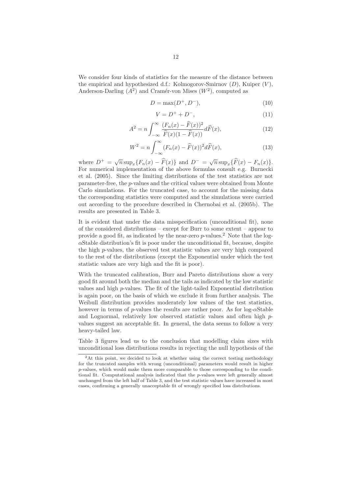We consider four kinds of statistics for the measure of the distance between the empirical and hypothesized d.f.: Kolmogorov-Smirnov  $(D)$ , Kuiper  $(V)$ , Anderson-Darling  $(A^2)$  and Cramér-von Mises  $(W^2)$ , computed as

$$
D = \max(D^+, D^-),\tag{10}
$$

$$
V = D^{+} + D^{-},
$$
\n(11)

$$
A^{2} = n \int_{-\infty}^{\infty} \frac{(F_n(x) - \widehat{F}(x))^{2}}{\widehat{F}(x)(1 - \widehat{F}(x))} d\widehat{F}(x), \qquad (12)
$$

$$
W^2 = n \int_{-\infty}^{\infty} (F_n(x) - \widehat{F}(x))^2 d\widehat{F}(x), \qquad (13)
$$

where  $D^+ = \sqrt{n} \sup_x \{ F_n(x) - \widehat{F}(x) \}$  and  $D^- = \sqrt{n} \sup_x \{ \widehat{F}(x) - F_n(x) \}.$ For numerical implementation of the above formulas consult e.g. Burnecki et al. (2005). Since the limiting distributions of the test statistics are not parameter-free, the p-values and the critical values were obtained from Monte Carlo simulations. For the truncated case, to account for the missing data the corresponding statistics were computed and the simulations were carried out according to the procedure described in Chernobai et al. (2005b). The results are presented in Table 3.

It is evident that under the data misspecification (unconditional fit), none of the considered distributions – except for Burr to some extent – appear to provide a good fit, as indicated by the near-zero  $p$ -values.<sup>2</sup> Note that the log- $\alpha$ Stable distribution's fit is poor under the unconditional fit, because, despite the high p-values, the observed test statistic values are very high compared to the rest of the distributions (except the Exponential under which the test statistic values are very high and the fit is poor).

With the truncated calibration, Burr and Pareto distributions show a very good fit around both the median and the tails as indicated by the low statistic values and high p-values. The fit of the light-tailed Exponential distribution is again poor, on the basis of which we exclude it from further analysis. The Weibull distribution provides moderately low values of the test statistics, however in terms of p-values the results are rather poor. As for  $log-\alpha$ Stable and Lognormal, relatively low observed statistic values and often high pvalues suggest an acceptable fit. In general, the data seems to follow a very heavy-tailed law.

Table 3 figures lead us to the conclusion that modelling claim sizes with unconditional loss distributions results in rejecting the null hypothesis of the

<sup>&</sup>lt;sup>2</sup>At this point, we decided to look at whether using the correct testing methodology for the truncated samples with wrong (unconditional) parameters would result in higher p-values, which would make them more comparable to those corresponding to the conditional fit. Computational analysis indicated that the p-values were left generally almost unchanged from the left half of Table 3, and the test statistic values have increased in most cases, confirming a generally unacceptable fit of wrongly specified loss distributions.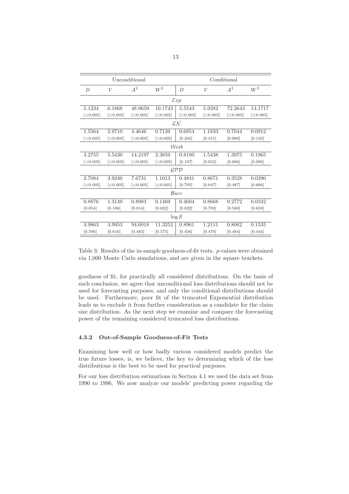| Unconditional  |          |           |          | Conditional        |          |          |          |
|----------------|----------|-----------|----------|--------------------|----------|----------|----------|
| $\overline{D}$ | V        | $A^2$     | $W^2$    | D                  | V        | $A^2$    | $W^2$    |
|                |          |           |          | $\mathcal{E}xp$    |          |          |          |
| 5.1234         | 6.1868   | 48.9659   | 10.1743  | 5.5543             | 5.9282   | 72.2643  | 13.1717  |
| [<0.005]       | [<0.005] | [<0.005]  | [<0.005] | [<0.005]           | [<0.005] | [<0.005] | [<0.005] |
|                |          |           |          | LN                 |          |          |          |
| 1.5564         | 2.9710   | 4.4646    | 0.7139   | 0.6854             | 1.1833   | 0.7044   | 0.0912   |
| [<0.005]       | [<0.005] | [<]0.005] | [<0.005] | [0.256]            | [0.315]  | [0.080]  | [0.133]  |
| Weib           |          |           |          |                    |          |          |          |
| 3.2755         | 5.5430   | 14.2197   | 2.3859   | 0.8180             | 1.5438   | 1.3975   | 0.1965   |
| [<0.005]       | [<0.005] | [<]0.005] | [<0.005] | [0.107]            | [0.053]  | [0.006]  | [0.008]  |
|                |          |           |          | $\mathcal{GPD}$    |          |          |          |
| 2.7084         | 3.9240   | 7.6731    | 1.1013   | 0.4841             | 0.8671   | 0.3528   | 0.0390   |
| [<0.005]       | [<0.005] | [<0.005]  | [<0.005] | [0.795]            | [0.847]  | [0.487]  | [0.666]  |
|                |          |           |          | Burr               |          |          |          |
| 0.8876         | 1.3149   | 0.8983    | 0.1469   | 0.4604             | 0.8668   | 0.2772   | 0.0342   |
| [0.054]        | [0.106]  | [0.014]   | [0.022]  | [0.822]            | [0.793]  | [0.560]  | [0.659]  |
|                |          |           |          | $\log \mathcal{S}$ |          |          |          |
| 4.9863         | 4.9953   | 94.6918   | 11.3252  | 0.8961             | 1.2111   | 0.8062   | 0.1535   |
| [0.596]        | [0.616]  | [0.483]   | [0.575]  | [0.456]            | [0.470]  | [0.484]  | [0.444]  |

Table 3: Results of the in-sample goodness-of-fit tests. p-values were obtained via 1,000 Monte Carlo simulations, and are given in the square brackets.

goodness of fit, for practically all considered distributions. On the basis of such conclusion, we agree that unconditional loss distributions should not be used for forecasting purposes, and only the conditional distributions should be used. Furthermore, poor fit of the truncated Exponential distribution leads us to exclude it from further consideration as a candidate for the claim size distribution. As the next step we examine and compare the forecasting power of the remaining considered truncated loss distributions.

#### 4.3.2 Out-of-Sample Goodness-of-Fit Tests

Examining how well or how badly various considered models predict the true future losses, is, we believe, the key to determining which of the loss distributions is the best to be used for practical purposes.

For our loss distribution estimations in Section 4.1 we used the data set from 1990 to 1996. We now analyze our models' predicting power regarding the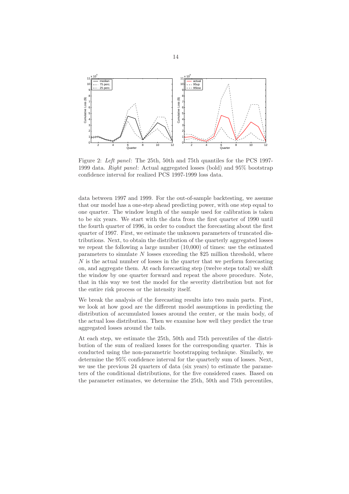

Figure 2: Left panel: The 25th, 50th and 75th quantiles for the PCS 1997- 1999 data. Right panel: Actual aggregated losses (bold) and 95% bootstrap confidence interval for realized PCS 1997-1999 loss data.

data between 1997 and 1999. For the out-of-sample backtesting, we assume that our model has a one-step ahead predicting power, with one step equal to one quarter. The window length of the sample used for calibration is taken to be six years. We start with the data from the first quarter of 1990 until the fourth quarter of 1996, in order to conduct the forecasting about the first quarter of 1997. First, we estimate the unknown parameters of truncated distributions. Next, to obtain the distribution of the quarterly aggregated losses we repeat the following a large number (10,000) of times: use the estimated parameters to simulate  $N$  losses exceeding the \$25 million threshold, where N is the actual number of losses in the quarter that we perform forecasting on, and aggregate them. At each forecasting step (twelve steps total) we shift the window by one quarter forward and repeat the above procedure. Note, that in this way we test the model for the severity distribution but not for the entire risk process or the intensity itself.

We break the analysis of the forecasting results into two main parts. First, we look at how good are the different model assumptions in predicting the distribution of accumulated losses around the center, or the main body, of the actual loss distribution. Then we examine how well they predict the true aggregated losses around the tails.

At each step, we estimate the 25th, 50th and 75th percentiles of the distribution of the sum of realized losses for the corresponding quarter. This is conducted using the non-parametric bootstrapping technique. Similarly, we determine the 95% confidence interval for the quarterly sum of losses. Next, we use the previous 24 quarters of data (six years) to estimate the parameters of the conditional distributions, for the five considered cases. Based on the parameter estimates, we determine the 25th, 50th and 75th percentiles,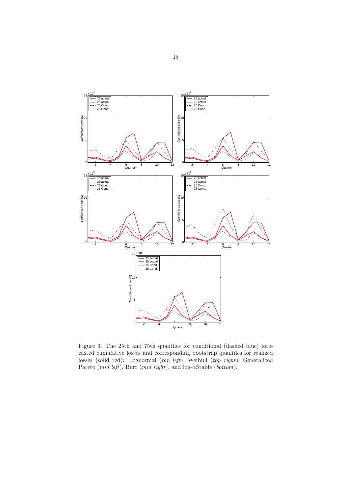

Figure 3: The 25th and 75th quantiles for conditional (dashed blue) forecasted cumulative losses and corresponding bootstrap quantiles for realized losses (solid red): Lognormal (top left), Weibull (top right), Generalized Pareto (mid left), Burr (mid right), and log- $\alpha$ Stable (bottom).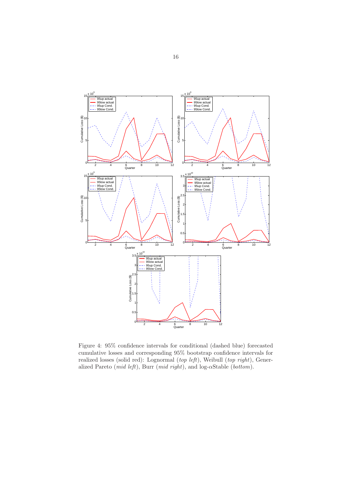

Figure 4: 95% confidence intervals for conditional (dashed blue) forecasted cumulative losses and corresponding 95% bootstrap confidence intervals for realized losses (solid red): Lognormal (top left), Weibull (top right), Generalized Pareto (mid left), Burr (mid right), and log- $\alpha$ Stable (bottom).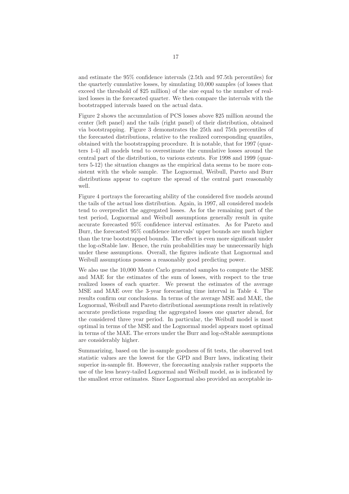and estimate the 95% confidence intervals (2.5th and 97.5th percentiles) for the quarterly cumulative losses, by simulating 10,000 samples (of losses that exceed the threshold of \$25 million) of the size equal to the number of realized losses in the forecasted quarter. We then compare the intervals with the bootstrapped intervals based on the actual data.

Figure 2 shows the accumulation of PCS losses above \$25 million around the center (left panel) and the tails (right panel) of their distribution, obtained via bootstrapping. Figure 3 demonstrates the 25th and 75th percentiles of the forecasted distributions, relative to the realized corresponding quantiles, obtained with the bootstrapping procedure. It is notable, that for 1997 (quarters 1-4) all models tend to overestimate the cumulative losses around the central part of the distribution, to various extents. For 1998 and 1999 (quarters 5-12) the situation changes as the empirical data seems to be more consistent with the whole sample. The Lognormal, Weibull, Pareto and Burr distributions appear to capture the spread of the central part reasonably well.

Figure 4 portrays the forecasting ability of the considered five models around the tails of the actual loss distribution. Again, in 1997, all considered models tend to overpredict the aggregated losses. As for the remaining part of the test period, Lognormal and Weibull assumptions generally result in quite accurate forecasted 95% confidence interval estimates. As for Pareto and Burr, the forecasted 95% confidence intervals' upper bounds are much higher than the true bootstrapped bounds. The effect is even more significant under the log- $\alpha$ Stable law. Hence, the ruin probabilities may be unnecessarily high under these assumptions. Overall, the figures indicate that Lognormal and Weibull assumptions possess a reasonably good predicting power.

We also use the 10,000 Monte Carlo generated samples to compute the MSE and MAE for the estimates of the sum of losses, with respect to the true realized losses of each quarter. We present the estimates of the average MSE and MAE over the 3-year forecasting time interval in Table 4. The results confirm our conclusions. In terms of the average MSE and MAE, the Lognormal, Weibull and Pareto distributional assumptions result in relatively accurate predictions regarding the aggregated losses one quarter ahead, for the considered three year period. In particular, the Weibull model is most optimal in terms of the MSE and the Lognormal model appears most optimal in terms of the MAE. The errors under the Burr and log- $\alpha$ Stable assumptions are considerably higher.

Summarizing, based on the in-sample goodness of fit tests, the observed test statistic values are the lowest for the GPD and Burr laws, indicating their superior in-sample fit. However, the forecasting analysis rather supports the use of the less heavy-tailed Lognormal and Weibull model, as is indicated by the smallest error estimates. Since Lognormal also provided an acceptable in-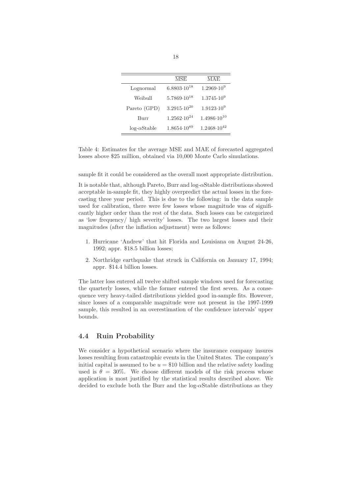|                    | <b>MSE</b>             | MAE                    |
|--------------------|------------------------|------------------------|
| Lognormal          | $6.8803 \cdot 10^{18}$ | $1.2969 \cdot 10^9$    |
| Weibull            | $5.7869 \cdot 10^{18}$ | $1.3745 \cdot 10^9$    |
| Pareto (GPD)       | $3.2915 \cdot 10^{20}$ | $1.9123 \cdot 10^9$    |
| Burr               | $1.2562 \cdot 10^{24}$ | $1.4986 \cdot 10^{10}$ |
| $log-\alphaStable$ | $1.8654 \cdot 10^{89}$ | $1.2468 \cdot 10^{42}$ |

Table 4: Estimates for the average MSE and MAE of forecasted aggregated losses above \$25 million, obtained via 10,000 Monte Carlo simulations.

sample fit it could be considered as the overall most appropriate distribution.

It is notable that, although Pareto, Burr and  $log-<sub>\alpha</sub>Stable distributions showed$ acceptable in-sample fit, they highly overpredict the actual losses in the forecasting three year period. This is due to the following: in the data sample used for calibration, there were few losses whose magnitude was of significantly higher order than the rest of the data. Such losses can be categorized as 'low frequency/ high severity' losses. The two largest losses and their magnitudes (after the inflation adjustment) were as follows:

- 1. Hurricane 'Andrew' that hit Florida and Louisiana on August 24-26, 1992; appr. \$18.5 billion losses;
- 2. Northridge earthquake that struck in California on January 17, 1994; appr. \$14.4 billion losses.

The latter loss entered all twelve shifted sample windows used for forecasting the quarterly losses, while the former entered the first seven. As a consequence very heavy-tailed distributions yielded good in-sample fits. However, since losses of a comparable magnitude were not present in the 1997-1999 sample, this resulted in an overestimation of the confidence intervals' upper bounds.

#### 4.4 Ruin Probability

We consider a hypothetical scenario where the insurance company insures losses resulting from catastrophic events in the United States. The company's initial capital is assumed to be  $u = $10$  billion and the relative safety loading used is  $\theta = 30\%$ . We choose different models of the risk process whose application is most justified by the statistical results described above. We decided to exclude both the Burr and the log- $\alpha$ Stable distributions as they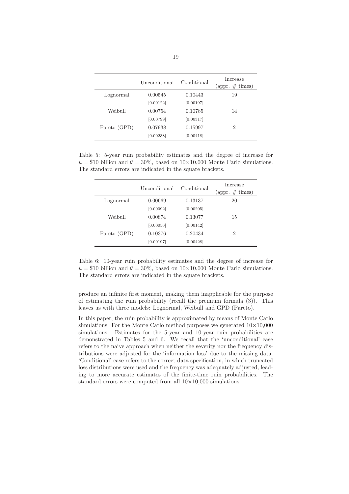|              | Unconditional | Conditional | Increase<br>$\left(\text{appr. }\#\text{ times}\right)$ |
|--------------|---------------|-------------|---------------------------------------------------------|
| Lognormal    | 0.00545       | 0.10443     | 19                                                      |
|              | [0.00122]     | [0.00197]   |                                                         |
| Weibull      | 0.00754       | 0.10785     | 14                                                      |
|              | [0.00799]     | [0.00317]   |                                                         |
| Pareto (GPD) | 0.07938       | 0.15997     | $\overline{2}$                                          |
|              | [0.00238]     | [0.00418]   |                                                         |

Table 5: 5-year ruin probability estimates and the degree of increase for  $u = $10$  billion and  $\theta = 30\%$ , based on  $10 \times 10,000$  Monte Carlo simulations. The standard errors are indicated in the square brackets.

|              | Unconditional | Conditional | Increase<br>(appr. $\#$ times) |
|--------------|---------------|-------------|--------------------------------|
| Lognormal    | 0.00669       | 0.13137     | 20                             |
|              | [0.00092]     | [0.00205]   |                                |
| Weibull      | 0.00874       | 0.13077     | 15                             |
|              | [0.00056]     | [0.00142]   |                                |
| Pareto (GPD) | 0.10376       | 0.20434     | 2                              |
|              | [0.00197]     | [0.00428]   |                                |

Table 6: 10-year ruin probability estimates and the degree of increase for  $u = $10$  billion and  $\theta = 30\%$ , based on  $10 \times 10,000$  Monte Carlo simulations. The standard errors are indicated in the square brackets.

produce an infinite first moment, making them inapplicable for the purpose of estimating the ruin probability (recall the premium formula (3)). This leaves us with three models: Lognormal, Weibull and GPD (Pareto).

In this paper, the ruin probability is approximated by means of Monte Carlo simulations. For the Monte Carlo method purposes we generated  $10\times10,000$ simulations. Estimates for the 5-year and 10-year ruin probabilities are demonstrated in Tables 5 and 6. We recall that the 'unconditional' case refers to the naive approach when neither the severity nor the frequency distributions were adjusted for the 'information loss' due to the missing data. 'Conditional' case refers to the correct data specification, in which truncated loss distributions were used and the frequency was adequately adjusted, leading to more accurate estimates of the finite-time ruin probabilities. The standard errors were computed from all  $10\times10,000$  simulations.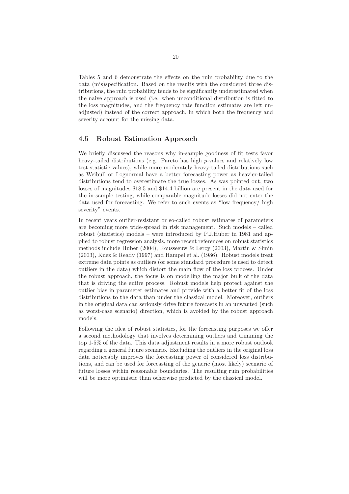Tables 5 and 6 demonstrate the effects on the ruin probability due to the data (mis)specification. Based on the results with the considered three distributions, the ruin probability tends to be significantly underestimated when the naive approach is used (i.e. when unconditional distribution is fitted to the loss magnitudes, and the frequency rate function estimates are left unadjusted) instead of the correct approach, in which both the frequency and severity account for the missing data.

#### 4.5 Robust Estimation Approach

We briefly discussed the reasons why in-sample goodness of fit tests favor heavy-tailed distributions (e.g. Pareto has high p-values and relatively low test statistic values), while more moderately heavy-tailed distributions such as Weibull or Lognormal have a better forecasting power as heavier-tailed distributions tend to overestimate the true losses. As was pointed out, two losses of magnitudes \$18.5 and \$14.4 billion are present in the data used for the in-sample testing, while comparable magnitude losses did not enter the data used for forecasting. We refer to such events as "low frequency/ high severity" events.

In recent years outlier-resistant or so-called robust estimates of parameters are becoming more wide-spread in risk management. Such models – called robust (statistics) models – were introduced by P.J.Huber in 1981 and applied to robust regression analysis, more recent references on robust statistics methods include Huber (2004), Rousseeuw & Leroy (2003), Martin & Simin (2003), Knez & Ready (1997) and Hampel et al. (1986). Robust models treat extreme data points as outliers (or some standard procedure is used to detect outliers in the data) which distort the main flow of the loss process. Under the robust approach, the focus is on modelling the major bulk of the data that is driving the entire process. Robust models help protect against the outlier bias in parameter estimates and provide with a better fit of the loss distributions to the data than under the classical model. Moreover, outliers in the original data can seriously drive future forecasts in an unwanted (such as worst-case scenario) direction, which is avoided by the robust approach models.

Following the idea of robust statistics, for the forecasting purposes we offer a second methodology that involves determining outliers and trimming the top 1-5% of the data. This data adjustment results in a more robust outlook regarding a general future scenario. Excluding the outliers in the original loss data noticeably improves the forecasting power of considered loss distributions, and can be used for forecasting of the generic (most likely) scenario of future losses within reasonable boundaries. The resulting ruin probabilities will be more optimistic than otherwise predicted by the classical model.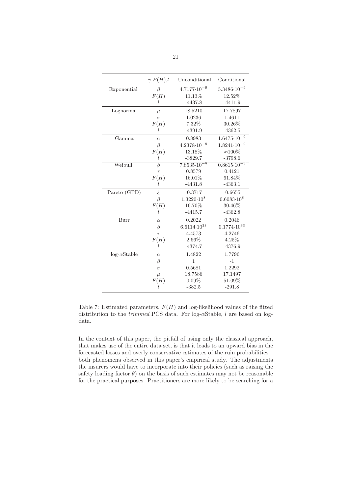|                    | $\gamma, F(H), l$  | Unconditional          | Conditional            |
|--------------------|--------------------|------------------------|------------------------|
| Exponential        | β                  | $4.7177 \cdot 10^{-9}$ | $5.3486 \cdot 10^{-9}$ |
|                    | F(H)               | 11.13%                 | 12.52%                 |
|                    | L                  | $-4437.8$              | $-4411.9$              |
| Lognormal          | $\mu$              | 18.5210                | 17.7897                |
|                    | $\sigma$           | 1.0236                 | 1.4611                 |
|                    | F(H)               | 7.32%                  | 30.26%                 |
|                    | l                  | $-4391.9$              | $-4362.5$              |
| Gamma              | $\alpha$           | 0.8983                 | $1.6475 \cdot 10^{-6}$ |
|                    | $\beta$            | $4.2378 \cdot 10^{-9}$ | $1.8241 \cdot 10^{-9}$ |
|                    | F(H)               | 13.18%                 | $\approx$ 100%         |
|                    | l                  | $-3829.7$              | $-3798.6$              |
| Weibull            | $\overline{\beta}$ | $7.8535 \cdot 10^{-8}$ | $0.8615 \cdot 10^{-3}$ |
|                    | $\tau$             | 0.8579                 | 0.4121                 |
|                    | F(H)               | 16.01%                 | 61.84%                 |
|                    | l                  | $-4431.8$              | $-4363.1$              |
| Pareto (GPD)       | $\xi$              | $-0.3717$              | $-0.6655$              |
|                    | $\beta$            | $1.3220 \cdot 10^8$    | $0.6083 \cdot 10^8$    |
|                    | F(H)               | 16.70%                 | 30.46%                 |
|                    | L                  | $-4415.7$              | $-4362.8$              |
| Burr               | $\alpha$           | 0.2022                 | 0.2046                 |
|                    | $\beta$            | $6.6114 \cdot 10^{33}$ | $0.1774 \cdot 10^{33}$ |
|                    | $\tau$             | 4.4573                 | 4.2746                 |
|                    | F(H)               | 2.66%                  | 4.25%                  |
|                    | l                  | $-4374.7$              | $-4376.9$              |
| $log-\alphaStable$ | $\alpha$           | 1.4822                 | 1.7796                 |
|                    | $\beta$            | $\mathbf{1}$           | $-1$                   |
|                    | $\sigma$           | 0.5681                 | 1.2292                 |
|                    | $\mu$              | 18.7586                | 17.1497                |
|                    | F(H)               | $0.09\%$               | 51.09%                 |
|                    | l                  | $-382.5$               | $-291.8$               |

Table 7: Estimated parameters,  $F(H)$  and log-likelihood values of the fitted distribution to the trimmed PCS data. For log-αStable, l are based on logdata.

In the context of this paper, the pitfall of using only the classical approach, that makes use of the entire data set, is that it leads to an upward bias in the forecasted losses and overly conservative estimates of the ruin probabilities – both phenomena observed in this paper's empirical study. The adjustments the insurers would have to incorporate into their policies (such as raising the safety loading factor  $\theta$ ) on the basis of such estimates may not be reasonable for the practical purposes. Practitioners are more likely to be searching for a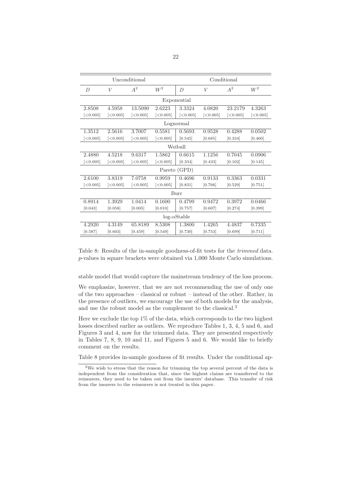| Unconditional  |          |          |          |                    | Conditional |          |              |
|----------------|----------|----------|----------|--------------------|-------------|----------|--------------|
| $\overline{D}$ | V        | $A^2$    | $W^2$    | D                  | V           | $A^2$    | ${\cal W}^2$ |
|                |          |          |          | Exponential        |             |          |              |
| 2.8508         | 4.5958   | 13.5090  | 2.6223   | 3.3324             | 4.0820      | 23.2179  | 4.3263       |
| [<0.005]       | [<0.005] | [<0.005] | [<0.005] | [<0.005]           | [<0.005]    | [<0.005] | [<0.005]     |
| Lognormal      |          |          |          |                    |             |          |              |
| 1.3512         | 2.5616   | 3.7007   | 0.5581   | 0.5693             | 0.9528      | 0.4288   | 0.0502       |
| [<0.005]       | [<0.005] | [<0.005] | [<0.005] | [0.545]            | [0.685]     | [0.334]  | [0.460]      |
| Weibull        |          |          |          |                    |             |          |              |
| 2.4880         | 4.5218   | 9.6317   | 1.5862   | 0.6615             | 1.1256      | 0.7045   | 0.0906       |
| [<0.005]       | [<0.005] | [<0.005] | [<0.005] | [0.334]            | [0.433]     | [0.102]  | [0.145]      |
|                |          |          |          | Pareto (GPD)       |             |          |              |
| 2.6100         | 3.8319   | 7.0758   | 0.9959   | 0.4696             | 0.9133      | 0.3363   | 0.0331       |
| [<0.005]       | [<0.005] | [<0.005] | [<0.005] | [0.831]            | [0.766]     | [0.529]  | [0.751]      |
|                |          |          |          | Burr               |             |          |              |
| 0.8914         | 1.3929   | 1.0414   | 0.1600   | 0.4799             | 0.9472      | 0.3972   | 0.0466       |
| [0.043]        | [0.058]  | [0.005]  | [0.010]  | [0.757]            | [0.607]     | [0.274]  | [0.399]      |
|                |          |          |          | $log-\alphaStable$ |             |          |              |
| 4.2920         | 4.3149   | 65.8189  | 8.5308   | 1.3800             | 1.4265      | 4.4837   | 0.7335       |
| [0.587]        | [0.603]  | [0.459]  | [0.549]  | [0.730]            | [0.753]     | [0.699]  | [0.711]      |

Table 8: Results of the in-sample goodness-of-fit tests for the trimmed data. p-values in square brackets were obtained via 1,000 Monte Carlo simulations.

stable model that would capture the mainstream tendency of the loss process.

We emphasize, however, that we are not recommending the use of only one of the two approaches – classical or robust – instead of the other. Rather, in the presence of outliers, we encourage the use of both models for the analysis, and use the robust model as the complement to the classical.<sup>3</sup>

Here we exclude the top  $1\%$  of the data, which corresponds to the two highest losses described earlier as outliers. We reproduce Tables 1, 3, 4, 5 and 6, and Figures 3 and 4, now for the trimmed data. They are presented respectively in Tables 7, 8, 9, 10 and 11, and Figures 5 and 6. We would like to briefly comment on the results.

Table 8 provides in-sample goodness of fit results. Under the conditional ap-

<sup>&</sup>lt;sup>3</sup>We wish to stress that the reason for trimming the top several percent of the data is independent from the consideration that, since the highest claims are transferred to the reinsurers, they need to be taken out from the insurers' database. This transfer of risk from the insurers to the reinsurers is not treated in this paper.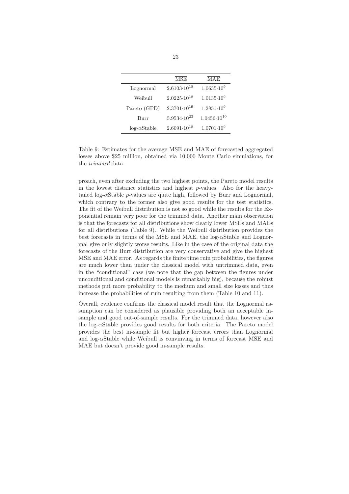|                    | <b>MSE</b>             | MAE                    |
|--------------------|------------------------|------------------------|
| Lognormal          | $2.6103 \cdot 10^{18}$ | $1.0635 \cdot 10^9$    |
| Weibull            | $2.0225 \cdot 10^{18}$ | $1.0135 \cdot 10^9$    |
| Pareto (GPD)       | $2.3701 \cdot 10^{19}$ | $1.2851 \cdot 10^9$    |
| Burr               | $5.9534 \cdot 10^{23}$ | $1.0456 \cdot 10^{10}$ |
| $log-\alphaStable$ | $2.6091 \cdot 10^{18}$ | $1.0701 \cdot 10^9$    |

Table 9: Estimates for the average MSE and MAE of forecasted aggregated losses above \$25 million, obtained via 10,000 Monte Carlo simulations, for the trimmed data.

proach, even after excluding the two highest points, the Pareto model results in the lowest distance statistics and highest  $p$ -values. Also for the heavytailed log- $\alpha$ Stable *p*-values are quite high, followed by Burr and Lognormal, which contrary to the former also give good results for the test statistics. The fit of the Weibull distribution is not so good while the results for the Exponential remain very poor for the trimmed data. Another main observation is that the forecasts for all distributions show clearly lower MSEs and MAEs for all distributions (Table 9). While the Weibull distribution provides the best forecasts in terms of the MSE and MAE, the log- $\alpha$ Stable and Lognormal give only slightly worse results. Like in the case of the original data the forecasts of the Burr distribution are very conservative and give the highest MSE and MAE error. As regards the finite time ruin probabilities, the figures are much lower than under the classical model with untrimmed data, even in the "conditional" case (we note that the gap between the figures under unconditional and conditional models is remarkably big), because the robust methods put more probability to the medium and small size losses and thus increase the probabilities of ruin resulting from them (Table 10 and 11).

Overall, evidence confirms the classical model result that the Lognormal assumption can be considered as plausible providing both an acceptable insample and good out-of-sample results. For the trimmed data, however also the log- $\alpha$ Stable provides good results for both criteria. The Pareto model provides the best in-sample fit but higher forecast errors than Lognormal and  $log-<sub>\alpha</sub>Stable while Weibull is convincing in terms of forecast MSE and$ MAE but doesn't provide good in-sample results.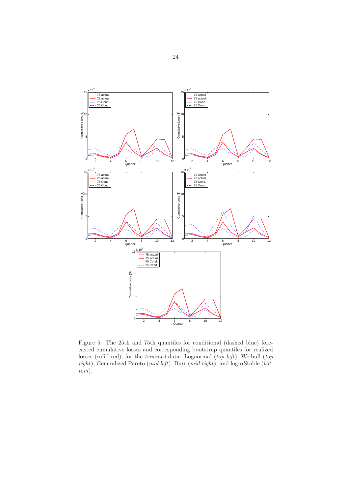

Figure 5: The 25th and 75th quantiles for conditional (dashed blue) forecasted cumulative losses and corresponding bootstrap quantiles for realized losses (solid red), for the *trimmed* data: Lognormal (top left), Weibull (top right), Generalized Pareto (mid left), Burr (mid right), and log-αStable (bottom).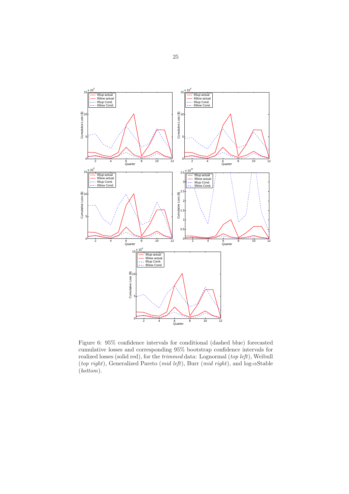

Figure 6: 95% confidence intervals for conditional (dashed blue) forecasted cumulative losses and corresponding 95% bootstrap confidence intervals for realized losses (solid red), for the *trimmed* data: Lognormal (top left), Weibull (top right), Generalized Pareto (mid left), Burr (mid right), and log-αStable (bottom).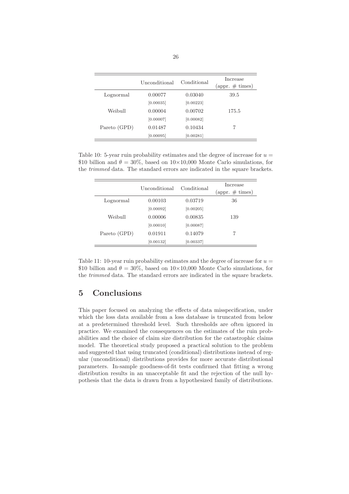|              | Unconditional | Conditional | Increase<br>$\left(\text{appr. }\#\text{ times}\right)$ |
|--------------|---------------|-------------|---------------------------------------------------------|
| Lognormal    | 0.00077       | 0.03040     | 39.5                                                    |
|              | [0.00035]     | [0.00223]   |                                                         |
| Weibull      | 0.00004       | 0.00702     | 175.5                                                   |
|              | [0.00007]     | [0.00082]   |                                                         |
| Pareto (GPD) | 0.01487       | 0.10434     | 7                                                       |
|              | [0.00095]     | [0.00281]   |                                                         |

Table 10: 5-year ruin probability estimates and the degree of increase for  $u =$ \$10 billion and  $\theta = 30\%$ , based on  $10 \times 10,000$  Monte Carlo simulations, for the trimmed data. The standard errors are indicated in the square brackets.

|              | Unconditional | Conditional | Increase<br>(appr. $\#$ times) |
|--------------|---------------|-------------|--------------------------------|
| Lognormal    | 0.00103       | 0.03719     | 36                             |
|              | [0.00092]     | [0.00205]   |                                |
| Weibull      | 0.00006       | 0.00835     | 139                            |
|              | [0.00010]     | [0.00087]   |                                |
| Pareto (GPD) | 0.01911       | 0.14079     |                                |
|              | [0.00132]     | [0.00337]   |                                |

Table 11: 10-year ruin probability estimates and the degree of increase for  $u =$ \$10 billion and  $\theta = 30\%$ , based on 10×10,000 Monte Carlo simulations, for the trimmed data. The standard errors are indicated in the square brackets.

## 5 Conclusions

This paper focused on analyzing the effects of data misspecification, under which the loss data available from a loss database is truncated from below at a predetermined threshold level. Such thresholds are often ignored in practice. We examined the consequences on the estimates of the ruin probabilities and the choice of claim size distribution for the catastrophic claims model. The theoretical study proposed a practical solution to the problem and suggested that using truncated (conditional) distributions instead of regular (unconditional) distributions provides for more accurate distributional parameters. In-sample goodness-of-fit tests confirmed that fitting a wrong distribution results in an unacceptable fit and the rejection of the null hypothesis that the data is drawn from a hypothesized family of distributions.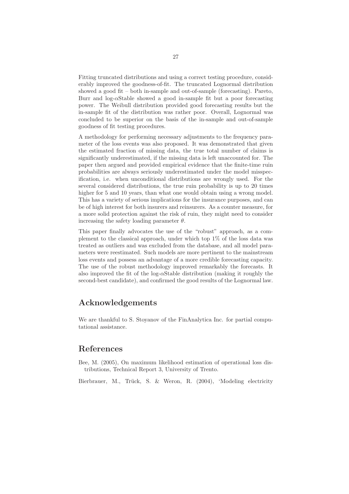Fitting truncated distributions and using a correct testing procedure, considerably improved the goodness-of-fit. The truncated Lognormal distribution showed a good fit – both in-sample and out-of-sample (forecasting). Pareto, Burr and log- $\alpha$ Stable showed a good in-sample fit but a poor forecasting power. The Weibull distribution provided good forecasting results but the in-sample fit of the distribution was rather poor. Overall, Lognormal was concluded to be superior on the basis of the in-sample and out-of-sample goodness of fit testing procedures.

A methodology for performing necessary adjustments to the frequency parameter of the loss events was also proposed. It was demonstrated that given the estimated fraction of missing data, the true total number of claims is significantly underestimated, if the missing data is left unaccounted for. The paper then argued and provided empirical evidence that the finite-time ruin probabilities are always seriously underestimated under the model misspecification, i.e. when unconditional distributions are wrongly used. For the several considered distributions, the true ruin probability is up to 20 times higher for 5 and 10 years, than what one would obtain using a wrong model. This has a variety of serious implications for the insurance purposes, and can be of high interest for both insurers and reinsurers. As a counter measure, for a more solid protection against the risk of ruin, they might need to consider increasing the safety loading parameter  $\theta$ .

This paper finally advocates the use of the "robust" approach, as a complement to the classical approach, under which top 1% of the loss data was treated as outliers and was excluded from the database, and all model parameters were reestimated. Such models are more pertinent to the mainstream loss events and possess an advantage of a more credible forecasting capacity. The use of the robust methodology improved remarkably the forecasts. It also improved the fit of the log- $\alpha$ Stable distribution (making it roughly the second-best candidate), and confirmed the good results of the Lognormal law.

## Acknowledgements

We are thankful to S. Stoyanov of the FinAnalytica Inc. for partial computational assistance.

## References

Bee, M. (2005), On maximum likelihood estimation of operational loss distributions, Technical Report 3, University of Trento.

Bierbrauer, M., Trück, S. & Weron, R. (2004), 'Modeling electricity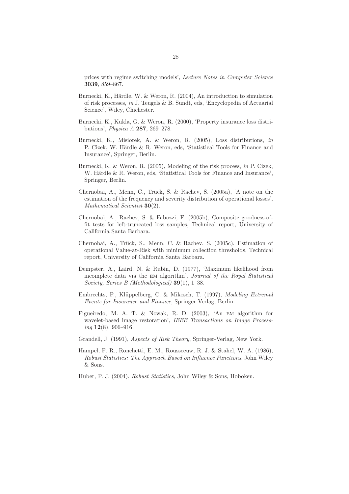prices with regime switching models', Lecture Notes in Computer Science 3039, 859–867.

- Burnecki, K., Härdle, W. & Weron, R. (2004), An introduction to simulation of risk processes, in J. Teugels & B. Sundt, eds, 'Encyclopedia of Actuarial Science', Wiley, Chichester.
- Burnecki, K., Kukla, G. & Weron, R. (2000), 'Property insurance loss distributions', Physica A 287, 269–278.
- Burnecki, K., Misiorek, A. & Weron, R. (2005), Loss distributions, in P. Cizek, W. Härdle & R. Weron, eds, 'Statistical Tools for Finance and Insurance', Springer, Berlin.
- Burnecki, K. & Weron, R. (2005), Modeling of the risk process, in P. Cizek, W. Härdle & R. Weron, eds, 'Statistical Tools for Finance and Insurance', Springer, Berlin.
- Chernobai, A., Menn, C., Trück, S. & Rachev, S. (2005a), 'A note on the estimation of the frequency and severity distribution of operational losses', Mathematical Scientist 30(2).
- Chernobai, A., Rachev, S. & Fabozzi, F. (2005b), Composite goodness-offit tests for left-truncated loss samples, Technical report, University of California Santa Barbara.
- Chernobai, A., Trück, S., Menn, C. & Rachev, S. (2005c), Estimation of operational Value-at-Risk with minimum collection thresholds, Technical report, University of California Santa Barbara.
- Dempster, A., Laird, N. & Rubin, D. (1977), 'Maximum likelihood from incomplete data via the em algorithm', Journal of the Royal Statistical Society, Series B (Methodological) 39(1), 1–38.
- Embrechts, P., Klüppelberg, C. & Mikosch, T. (1997), Modeling Extremal Events for Insurance and Finance, Springer-Verlag, Berlin.
- Figueiredo, M. A. T. & Nowak, R. D. (2003), 'An em algorithm for wavelet-based image restoration', IEEE Transactions on Image Process $inq \mathbf{12}(8), 906 - 916.$
- Grandell, J. (1991), Aspects of Risk Theory, Springer-Verlag, New York.
- Hampel, F. R., Ronchetti, E. M., Rousseeuw, R. J. & Stahel, W. A. (1986), Robust Statistics: The Approach Based on Influence Functions, John Wiley & Sons.
- Huber, P. J. (2004), Robust Statistics, John Wiley & Sons, Hoboken.